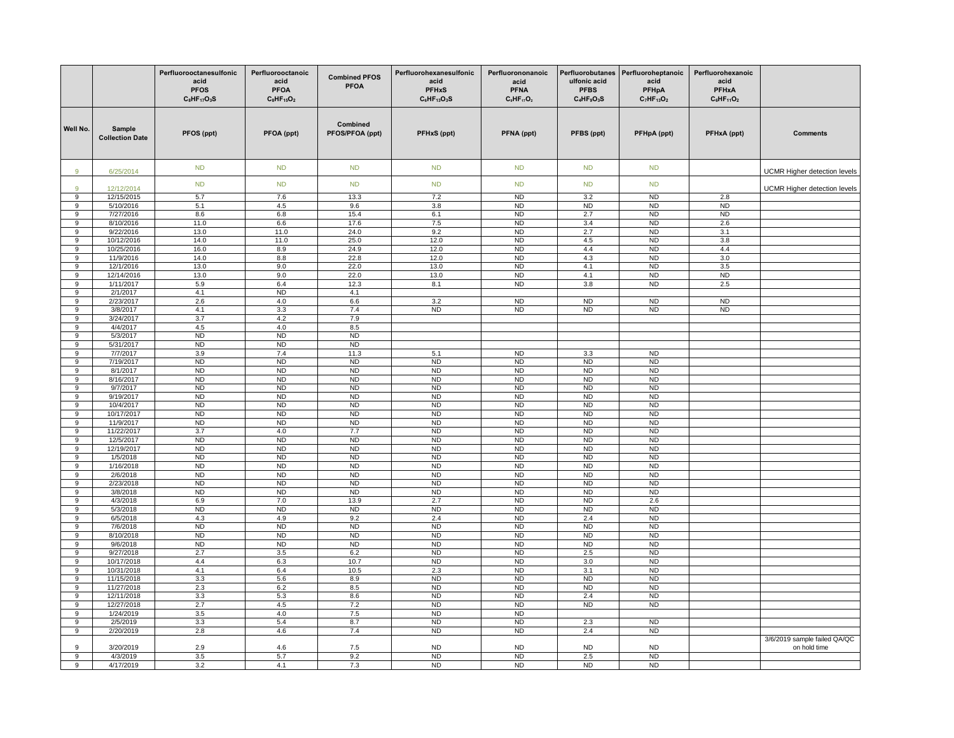|                       |                                  | Perfluorooctanesulfonic<br>acid<br><b>PFOS</b><br>$C_8$ HF <sub>17</sub> O <sub>3</sub> S | Perfluorooctanoic<br>acid<br><b>PFOA</b><br>$C_8$ HF <sub>15</sub> O <sub>2</sub> | <b>Combined PFOS</b><br><b>PFOA</b> | Perfluorohexanesulfonic<br>acid<br><b>PFHxS</b><br>$C_6$ HF <sub>13</sub> O <sub>3</sub> S | Perfluorononanoic<br>acid<br><b>PFNA</b><br>$C_9HF_{17}O_2$ | ulfonic acid<br><b>PFBS</b><br>$C_4HF_9O_3S$ | Perfluorobutanes Perfluoroheptanoic<br>acid<br>PFHpA<br>$C_7HF_{13}O_2$ | Perfluorohexanoic<br>acid<br><b>PFHxA</b><br>$C_6HF_{11}O_2$ |                                     |
|-----------------------|----------------------------------|-------------------------------------------------------------------------------------------|-----------------------------------------------------------------------------------|-------------------------------------|--------------------------------------------------------------------------------------------|-------------------------------------------------------------|----------------------------------------------|-------------------------------------------------------------------------|--------------------------------------------------------------|-------------------------------------|
| Well No.              | Sample<br><b>Collection Date</b> | PFOS (ppt)                                                                                | PFOA (ppt)                                                                        | Combined<br>PFOS/PFOA (ppt)         | PFHxS (ppt)                                                                                | PFNA (ppt)                                                  | PFBS (ppt)                                   | PFHpA (ppt)                                                             | PFHxA (ppt)                                                  | Comments                            |
| $\overline{9}$        | 6/25/2014                        | ND                                                                                        | <b>ND</b>                                                                         | <b>ND</b>                           | <b>ND</b>                                                                                  | <b>ND</b>                                                   | ND                                           | <b>ND</b>                                                               |                                                              | UCMR Higher detection levels        |
| $\alpha$              | 12/12/2014                       | ND                                                                                        | <b>ND</b>                                                                         | ND                                  | <b>ND</b>                                                                                  | <b>ND</b>                                                   | ND                                           | <b>ND</b>                                                               |                                                              | <b>UCMR Higher detection levels</b> |
| 9                     | 12/15/2015                       | 5.7                                                                                       | 7.6                                                                               | 13.3                                | 7.2                                                                                        | <b>ND</b>                                                   | 3.2                                          | N <sub>D</sub>                                                          | 2.8                                                          |                                     |
| 9                     | 5/10/2016                        | 5.1                                                                                       | 4.5                                                                               | 9.6                                 | 3.8                                                                                        | <b>ND</b>                                                   | N <sub>D</sub>                               | N <sub>D</sub>                                                          | <b>ND</b>                                                    |                                     |
| $\overline{9}$<br>9   | 7/27/2016<br>8/10/2016           | 8.6<br>11.0                                                                               | 6.8<br>6.6                                                                        | 15.4<br>17.6                        | 6.1<br>7.5                                                                                 | N <sub>D</sub><br><b>ND</b>                                 | 2.7<br>3.4                                   | N <sub>D</sub><br><b>ND</b>                                             | ND<br>2.6                                                    |                                     |
| 9                     | 9/22/2016                        | 13.0                                                                                      | 11.0                                                                              | 24.0                                | 9.2                                                                                        | <b>ND</b>                                                   | 2.7                                          | <b>ND</b>                                                               | 3.1                                                          |                                     |
| 9                     | 10/12/2016                       | 14.0                                                                                      | 11.0                                                                              | 25.0                                | 12.0                                                                                       | <b>ND</b>                                                   | 4.5                                          | <b>ND</b>                                                               | 3.8                                                          |                                     |
| $\boldsymbol{9}$      | 10/25/2016                       | 16.0                                                                                      | 8.9                                                                               | 24.9                                | 12.0                                                                                       | <b>ND</b>                                                   | 4.4                                          | <b>ND</b>                                                               | 4.4                                                          |                                     |
| 9                     | 11/9/2016                        | 14.0                                                                                      | 8.8                                                                               | 22.8                                | 12.0                                                                                       | <b>ND</b>                                                   | 4.3                                          | <b>ND</b>                                                               | 3.0                                                          |                                     |
| 9                     | 12/1/2016                        | 13.0                                                                                      | 9.0                                                                               | 22.0                                | 13.0                                                                                       | <b>ND</b>                                                   | 4.1                                          | <b>ND</b>                                                               | 3.5                                                          |                                     |
| $\overline{9}$        | 12/14/2016<br>1/11/2017          | 13.0<br>5.9                                                                               | 9.0<br>6.4                                                                        | 22.0<br>12.3                        | 13.0<br>8.1                                                                                | ND<br>N <sub>D</sub>                                        | 4.1<br>3.8                                   | ND<br><b>ND</b>                                                         | <b>ND</b><br>2.5                                             |                                     |
| 9<br>9                | 2/1/2017                         | 4.1                                                                                       | <b>ND</b>                                                                         | 4.1                                 |                                                                                            |                                                             |                                              |                                                                         |                                                              |                                     |
| $\boldsymbol{9}$      | 2/23/2017                        | $2.6\,$                                                                                   | 4.0                                                                               | $6.6\,$                             | 3.2                                                                                        | N <sub>D</sub>                                              | N <sub>D</sub>                               | N <sub>D</sub>                                                          | ND                                                           |                                     |
| $\overline{9}$        | 3/8/2017                         | 4.1                                                                                       | 3.3                                                                               | 7.4                                 | N <sub>D</sub>                                                                             | N <sub>D</sub>                                              | N <sub>D</sub>                               | N <sub>D</sub>                                                          | ND                                                           |                                     |
| 9                     | 3/24/2017                        | 3.7                                                                                       | 4.2                                                                               | 7.9                                 |                                                                                            |                                                             |                                              |                                                                         |                                                              |                                     |
| $\boldsymbol{9}$      | 4/4/2017                         | 4.5                                                                                       | 4.0                                                                               | 8.5                                 |                                                                                            |                                                             |                                              |                                                                         |                                                              |                                     |
| 9                     | 5/3/2017                         | N <sub>D</sub>                                                                            | N <sub>D</sub>                                                                    | ND                                  |                                                                                            |                                                             |                                              |                                                                         |                                                              |                                     |
| 9<br>$\boldsymbol{9}$ | 5/31/2017<br>7/7/2017            | <b>ND</b><br>3.9                                                                          | N <sub>D</sub><br>7.4                                                             | <b>ND</b><br>11.3                   | 5.1                                                                                        | <b>ND</b>                                                   | 3.3                                          | <b>ND</b>                                                               |                                                              |                                     |
| $\overline{9}$        | 7/19/2017                        | <b>ND</b>                                                                                 | <b>ND</b>                                                                         | <b>ND</b>                           | <b>ND</b>                                                                                  | ND                                                          | ND                                           | N <sub>D</sub>                                                          |                                                              |                                     |
| 9                     | 8/1/2017                         | <b>ND</b>                                                                                 | <b>ND</b>                                                                         | <b>ND</b>                           | <b>ND</b>                                                                                  | <b>ND</b>                                                   | <b>ND</b>                                    | <b>ND</b>                                                               |                                                              |                                     |
| 9                     | 8/16/2017                        | <b>ND</b>                                                                                 | <b>ND</b>                                                                         | <b>ND</b>                           | <b>ND</b>                                                                                  | <b>ND</b>                                                   | <b>ND</b>                                    | <b>ND</b>                                                               |                                                              |                                     |
| 9                     | 9/7/2017                         | <b>ND</b>                                                                                 | <b>ND</b>                                                                         | <b>ND</b>                           | <b>ND</b>                                                                                  | <b>ND</b>                                                   | <b>ND</b>                                    | <b>ND</b>                                                               |                                                              |                                     |
| 9                     | 9/19/2017                        | <b>ND</b>                                                                                 | <b>ND</b>                                                                         | <b>ND</b>                           | <b>ND</b>                                                                                  | <b>ND</b>                                                   | <b>ND</b>                                    | <b>ND</b>                                                               |                                                              |                                     |
| 9                     | 10/4/2017                        | ND                                                                                        | <b>ND</b>                                                                         | <b>ND</b>                           | N <sub>D</sub>                                                                             | ND                                                          | N <sub>D</sub>                               | N <sub>D</sub>                                                          |                                                              |                                     |
| 9<br>9                | 10/17/2017<br>11/9/2017          | <b>ND</b><br><b>ND</b>                                                                    | <b>ND</b><br>N <sub>D</sub>                                                       | <b>ND</b><br><b>ND</b>              | <b>ND</b><br><b>ND</b>                                                                     | <b>ND</b><br><b>ND</b>                                      | <b>ND</b><br><b>ND</b>                       | <b>ND</b><br><b>ND</b>                                                  |                                                              |                                     |
| $\overline{9}$        | 11/22/2017                       | 3.7                                                                                       | 4.0                                                                               | 7.7                                 | N <sub>D</sub>                                                                             | <b>ND</b>                                                   | N <sub>D</sub>                               | N <sub>D</sub>                                                          |                                                              |                                     |
| 9                     | 12/5/2017                        | <b>ND</b>                                                                                 | <b>ND</b>                                                                         | ND                                  | <b>ND</b>                                                                                  | <b>ND</b>                                                   | ND                                           | <b>ND</b>                                                               |                                                              |                                     |
| 9                     | 12/19/2017                       | ND                                                                                        | ND                                                                                | ND                                  | ND                                                                                         | ND                                                          | ND                                           | <b>ND</b>                                                               |                                                              |                                     |
| 9                     | 1/5/2018                         | N <sub>D</sub>                                                                            | N <sub>D</sub>                                                                    | N <sub>D</sub>                      | N <sub>D</sub>                                                                             | N <sub>D</sub>                                              | ND                                           | N <sub>D</sub>                                                          |                                                              |                                     |
| 9                     | 1/16/2018                        | <b>ND</b>                                                                                 | N <sub>D</sub>                                                                    | <b>ND</b>                           | <b>ND</b>                                                                                  | <b>ND</b>                                                   | ND                                           | <b>ND</b>                                                               |                                                              |                                     |
| $\boldsymbol{9}$      | 2/6/2018                         | <b>ND</b>                                                                                 | <b>ND</b>                                                                         | <b>ND</b>                           | <b>ND</b>                                                                                  | <b>ND</b>                                                   | <b>ND</b>                                    | <b>ND</b>                                                               |                                                              |                                     |
| 9<br>$\overline{9}$   | 2/23/2018<br>3/8/2018            | <b>ND</b><br>ND                                                                           | N <sub>D</sub><br><b>ND</b>                                                       | ND<br><b>ND</b>                     | <b>ND</b><br><b>ND</b>                                                                     | N <sub>D</sub><br><b>ND</b>                                 | ND<br>ND                                     | <b>ND</b><br><b>ND</b>                                                  |                                                              |                                     |
| 9                     | 4/3/2018                         | 6.9                                                                                       | 7.0                                                                               | 13.9                                | 2.7                                                                                        | <b>ND</b>                                                   | <b>ND</b>                                    | 2.6                                                                     |                                                              |                                     |
| 9                     | 5/3/2018                         | <b>ND</b>                                                                                 | <b>ND</b>                                                                         | <b>ND</b>                           | <b>ND</b>                                                                                  | <b>ND</b>                                                   | <b>ND</b>                                    | <b>ND</b>                                                               |                                                              |                                     |
| $\overline{9}$        | 6/5/2018                         | 4.3                                                                                       | 4.9                                                                               | 9.2                                 | 2.4                                                                                        | N <sub>D</sub>                                              | 2.4                                          | <b>ND</b>                                                               |                                                              |                                     |
| 9                     | 7/6/2018                         | N <sub>D</sub>                                                                            | ND                                                                                | <b>ND</b>                           | N <sub>D</sub>                                                                             | N <sub>D</sub>                                              | N <sub>D</sub>                               | <b>ND</b>                                                               |                                                              |                                     |
| 9                     | 8/10/2018                        | <b>ND</b>                                                                                 | <b>ND</b>                                                                         | <b>ND</b>                           | <b>ND</b>                                                                                  | <b>ND</b>                                                   | <b>ND</b>                                    | <b>ND</b>                                                               |                                                              |                                     |
| 9<br>$\overline{9}$   | 9/6/2018<br>9/27/2018            | <b>ND</b><br>2.7                                                                          | <b>ND</b><br>3.5                                                                  | ND<br>6.2                           | <b>ND</b><br>N <sub>D</sub>                                                                | <b>ND</b><br><b>ND</b>                                      | ND<br>2.5                                    | <b>ND</b><br><b>ND</b>                                                  |                                                              |                                     |
| 9                     | 10/17/2018                       | 4.4                                                                                       | 6.3                                                                               | 10.7                                | <b>ND</b>                                                                                  | <b>ND</b>                                                   | 3.0                                          | <b>ND</b>                                                               |                                                              |                                     |
| 9                     | 10/31/2018                       | 4.1                                                                                       | 6.4                                                                               | 10.5                                | 2.3                                                                                        | <b>ND</b>                                                   | 3.1                                          | <b>ND</b>                                                               |                                                              |                                     |
| $\overline{9}$        | 11/15/2018                       | 3.3                                                                                       | 5.6                                                                               | 8.9                                 | ND                                                                                         | ND                                                          | ND                                           | ND                                                                      |                                                              |                                     |
| 9                     | 11/27/2018                       | 2.3                                                                                       | 6.2                                                                               | 8.5                                 | N <sub>D</sub>                                                                             | <b>ND</b>                                                   | ND                                           | <b>ND</b>                                                               |                                                              |                                     |
| 9                     | 12/11/2018                       | 3.3                                                                                       | 5.3                                                                               | 8.6                                 | <b>ND</b>                                                                                  | <b>ND</b>                                                   | 2.4                                          | <b>ND</b>                                                               |                                                              |                                     |
| 9                     | 12/27/2018                       | $2.7\,$                                                                                   | 4.5                                                                               | $7.2\,$                             | <b>ND</b>                                                                                  | <b>ND</b>                                                   | ND                                           | ND                                                                      |                                                              |                                     |
| $\boldsymbol{9}$      | 1/24/2019                        | 3.5                                                                                       | 4.0                                                                               | 7.5                                 | N <sub>D</sub>                                                                             | N <sub>D</sub>                                              |                                              |                                                                         |                                                              |                                     |
| 9<br>$\boldsymbol{9}$ | 2/5/2019<br>2/20/2019            | 3.3<br>$2.8$                                                                              | 5.4<br>4.6                                                                        | 8.7<br>$7.4$                        | ND<br>N <sub>D</sub>                                                                       | <b>ND</b><br><b>ND</b>                                      | 2.3<br>2.4                                   | N <sub>D</sub><br>N <sub>D</sub>                                        |                                                              |                                     |
|                       |                                  |                                                                                           |                                                                                   |                                     |                                                                                            |                                                             |                                              |                                                                         |                                                              | 3/6/2019 sample failed QA/QC        |
| 9                     | 3/20/2019                        | 2.9                                                                                       | 4.6                                                                               | 7.5                                 | <b>ND</b>                                                                                  | <b>ND</b>                                                   | ND                                           | <b>ND</b>                                                               |                                                              | on hold time                        |
| 9                     | 4/3/2019                         | 3.5                                                                                       | 5.7                                                                               | 9.2                                 | <b>ND</b>                                                                                  | <b>ND</b>                                                   | 2.5                                          | <b>ND</b>                                                               |                                                              |                                     |
| 9                     | 4/17/2019                        | 3.2                                                                                       | 4.1                                                                               | 7.3                                 | <b>ND</b>                                                                                  | <b>ND</b>                                                   | <b>ND</b>                                    | <b>ND</b>                                                               |                                                              |                                     |